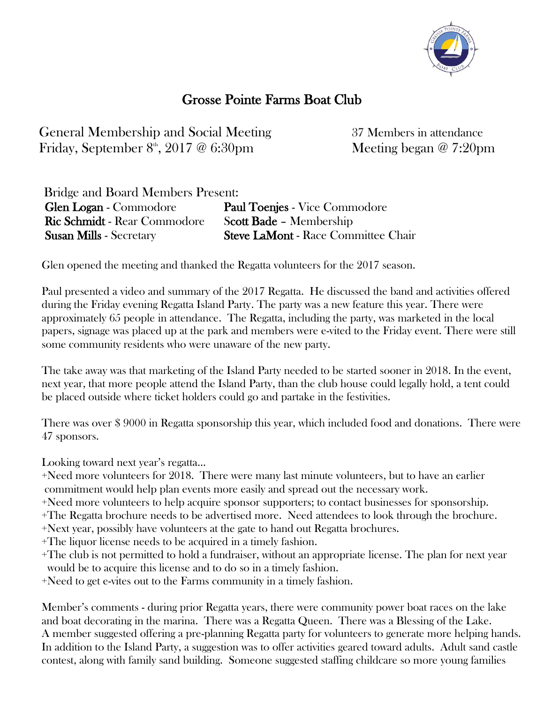

## Grosse Pointe Farms Boat Club

General Membership and Social Meeting 37 Members in attendance Friday, September 8<sup>th</sup>, 2017 @ 6:30pm

Meeting began  $@ 7:20 \text{pm}$ 

| Bridge and Board Members Present:   |                                            |
|-------------------------------------|--------------------------------------------|
| <b>Glen Logan - Commodore</b>       | <b>Paul Toenjes - Vice Commodore</b>       |
| <b>Ric Schmidt - Rear Commodore</b> | <b>Scott Bade - Membership</b>             |
| <b>Susan Mills - Secretary</b>      | <b>Steve LaMont - Race Committee Chair</b> |

Glen opened the meeting and thanked the Regatta volunteers for the 2017 season.

Paul presented a video and summary of the 2017 Regatta. He discussed the band and activities offered during the Friday evening Regatta Island Party. The party was a new feature this year. There were approximately 65 people in attendance. The Regatta, including the party, was marketed in the local papers, signage was placed up at the park and members were e-vited to the Friday event. There were still some community residents who were unaware of the new party.

The take away was that marketing of the Island Party needed to be started sooner in 2018. In the event, next year, that more people attend the Island Party, than the club house could legally hold, a tent could be placed outside where ticket holders could go and partake in the festivities.

There was over \$ 9000 in Regatta sponsorship this year, which included food and donations. There were 47 sponsors.

Looking toward next year's regatta…

+Need more volunteers for 2018. There were many last minute volunteers, but to have an earlier commitment would help plan events more easily and spread out the necessary work.

+Need more volunteers to help acquire sponsor supporters; to contact businesses for sponsorship.

+The Regatta brochure needs to be advertised more. Need attendees to look through the brochure.

+Next year, possibly have volunteers at the gate to hand out Regatta brochures.

+The liquor license needs to be acquired in a timely fashion.

+The club is not permitted to hold a fundraiser, without an appropriate license. The plan for next year would be to acquire this license and to do so in a timely fashion.

+Need to get e-vites out to the Farms community in a timely fashion.

Member's comments - during prior Regatta years, there were community power boat races on the lake and boat decorating in the marina. There was a Regatta Queen. There was a Blessing of the Lake. A member suggested offering a pre-planning Regatta party for volunteers to generate more helping hands. In addition to the Island Party, a suggestion was to offer activities geared toward adults. Adult sand castle contest, along with family sand building. Someone suggested staffing childcare so more young families